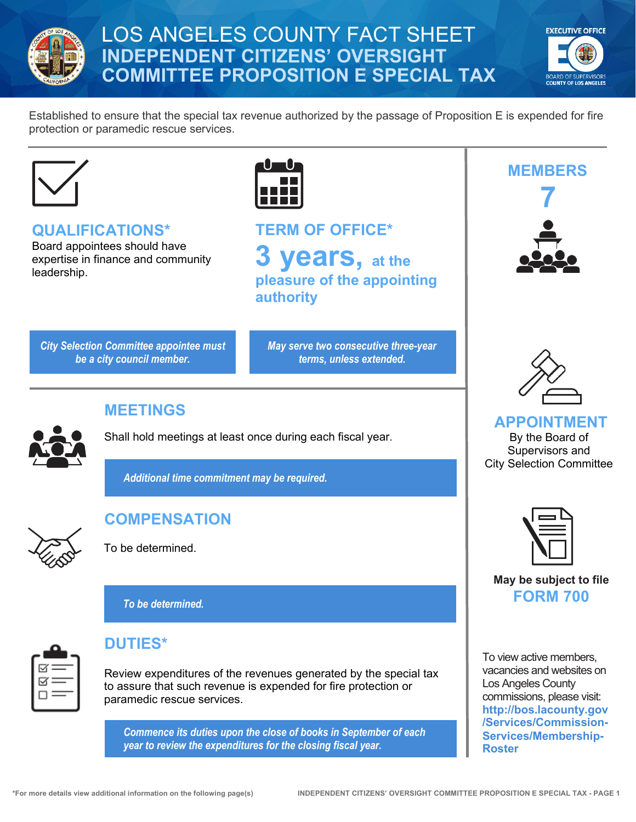

# LOS ANGELES COUNTY FACT SHEET **INDEPENDENT CITIZENS' OVERSIGHT COMMITTEE PROPOSITION E SPECIAL TAX**



Established to ensure that the special tax revenue authorized by the passage of Proposition E is expended for fire protection or paramedic rescue services.



**QUALIFICATIONS\*** Board appointees should have

expertise in finance and community leadership.



**TERM OF OFFICE\* 3 years, at the pleasure of the appointing authority**

*City Selection Committee appointee must be a city council member.*

*May serve two consecutive three-year terms, unless extended.*



**MEETINGS**

Shall hold meetings at least once during each fiscal year.

*Additional time commitment may be required.*



# **COMPENSATION**

To be determined.

*To be determined.*



#### **DUTIES\***

Review expenditures of the revenues generated by the special tax to assure that such revenue is expended for fire protection or paramedic rescue services.

*Commence its duties upon the close of books in September of each year to review the expenditures for the closing fiscal year.* 





**APPOINTMENT** By the Board of Supervisors and City Selection Committee



#### **May be subject to file FORM 700**

To view active members, vacancies and websites on Los Angeles County commissions, please visit: **[http://bos.lacounty.gov](http://bos.lacounty.gov/Services/Commission-Services/Membership-Roster) [/Services/Commission-](http://bos.lacounty.gov/Services/Commission-Services/Membership-Roster)[Services/Membership-](http://bos.lacounty.gov/Services/Commission-Services/Membership-Roster)[Roster](http://bos.lacounty.gov/Services/Commission-Services/Membership-Roster)**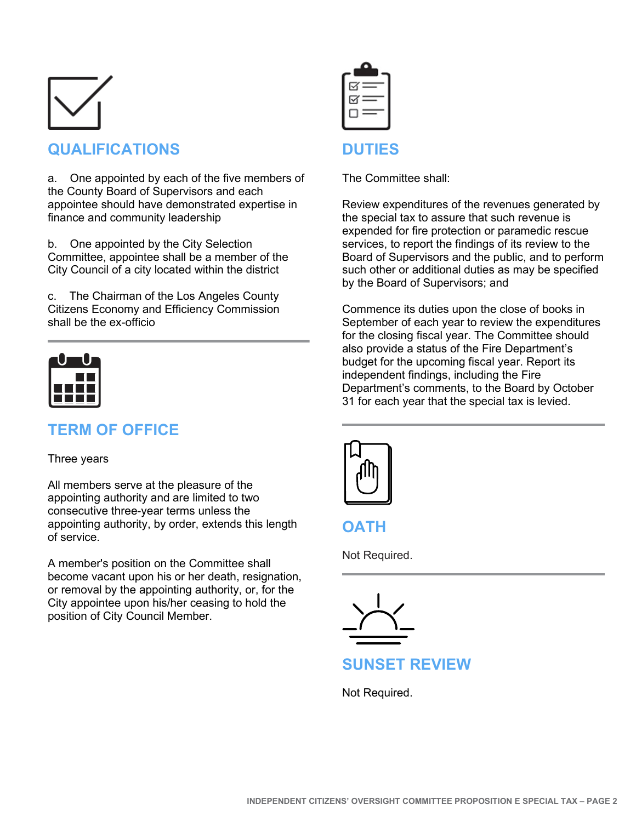

# **QUALIFICATIONS**

a. One appointed by each of the five members of the County Board of Supervisors and each appointee should have demonstrated expertise in finance and community leadership

b. One appointed by the City Selection Committee, appointee shall be a member of the City Council of a city located within the district

c. The Chairman of the Los Angeles County Citizens Economy and Efficiency Commission shall be the ex-officio



# **TERM OF OFFICE**

#### Three years

All members serve at the pleasure of the appointing authority and are limited to two consecutive three-year terms unless the appointing authority, by order, extends this length of service.

A member's position on the Committee shall become vacant upon his or her death, resignation, or removal by the appointing authority, or, for the City appointee upon his/her ceasing to hold the position of City Council Member.

| i =<br>÷.           |  |
|---------------------|--|
| Ξ<br>$\overline{ }$ |  |
|                     |  |

#### **DUTIES**

The Committee shall:

Review expenditures of the revenues generated by the special tax to assure that such revenue is expended for fire protection or paramedic rescue services, to report the findings of its review to the Board of Supervisors and the public, and to perform such other or additional duties as may be specified by the Board of Supervisors; and

Commence its duties upon the close of books in September of each year to review the expenditures for the closing fiscal year. The Committee should also provide a status of the Fire Department's budget for the upcoming fiscal year. Report its independent findings, including the Fire Department's comments, to the Board by October 31 for each year that the special tax is levied.



**OATH**

Not Required.



### **SUNSET REVIEW**

Not Required.